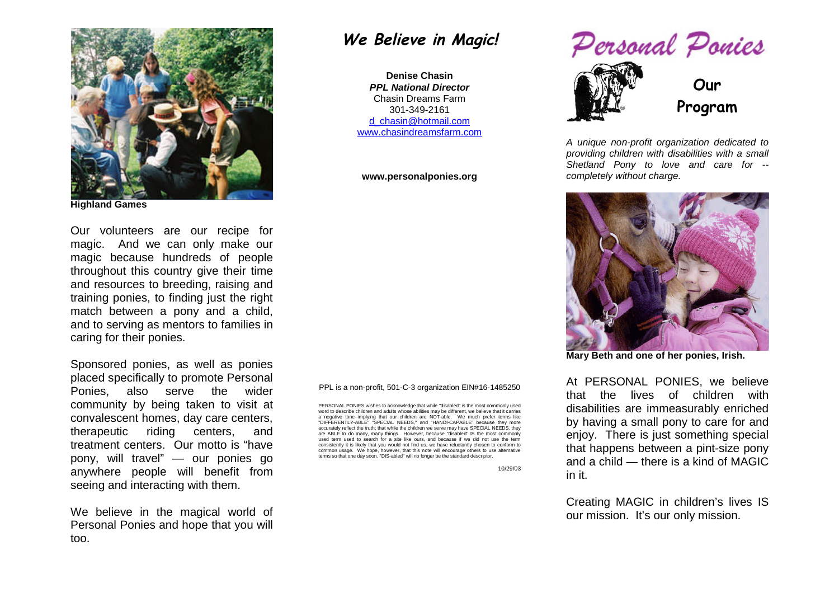

**Highland Games**

Our volunteers are our recipe for magic. And we can only make our magic because hundreds of people throughout this country give their time and resources to breeding, raising and training ponies, to finding just the right match between a pony and a child, and to serving as mentors to families in caring for their ponies.

Sponsored ponies, as well as ponies placed specifically to promote Personal Ponies, also serve the wider community by being taken to visit at convalescent homes, day care centers, therapeutic riding centers, and treatment centers. Our motto is "have pony, will travel" — our ponies go anywhere people will benefit from seeing and interacting with them.

We believe in the magical world of Personal Ponies and hope that you will too.

## **We Believe in Magic!**

**Denise Chasin** *PPL National Director* Chasin Dreams Farm 301-349-2161 d\_chasin@hotmail.com www.chasindreamsfarm.com

## **www.personalponies.org**

PPL is a non-profit, 501-C-3 organization EIN#16-1485250

PERSONAL PONIES wishes to acknowledge that while "disabled" is the most commonly used word to describe children and adults whose abilities may be different, we believe that it carries a negative tone--implying that our children are NOT-able. We much prefer terms like "DIFFERENTLY-ABLE" "SPECIAL NEEDS," and "HANDI-CAPABLE" because they more accurately reflect the truth; that while the children we serve may have SPECIAL NEEDS, they are ABLE to do many, many things. However, because "disabled" IS the most commonly used term used to search for a site like ours, and because if we did not use the term consistently it is likely that you would not find us, we have reluctantly chosen to conform to common usage. We hope, however, that this note will encourage others to use alternative terms so that one day soon, "DIS-abled" will no longer be the standard descriptor.

10/29/03



*A unique non-profit organization dedicated to providing children with disabilities with a small Shetland Pony to love and care for - completely without charge.*



**Mary Beth and one of her ponies, Irish.**

At PERSONAL PONIES, we believe that the lives of children with disabilities are immeasurably enriched by having a small pony to care for and enjoy. There is just something special that happens between a pint-size pony and a child — there is a kind of MAGIC in it.

Creating MAGIC in children's lives IS our mission. It's our only mission.